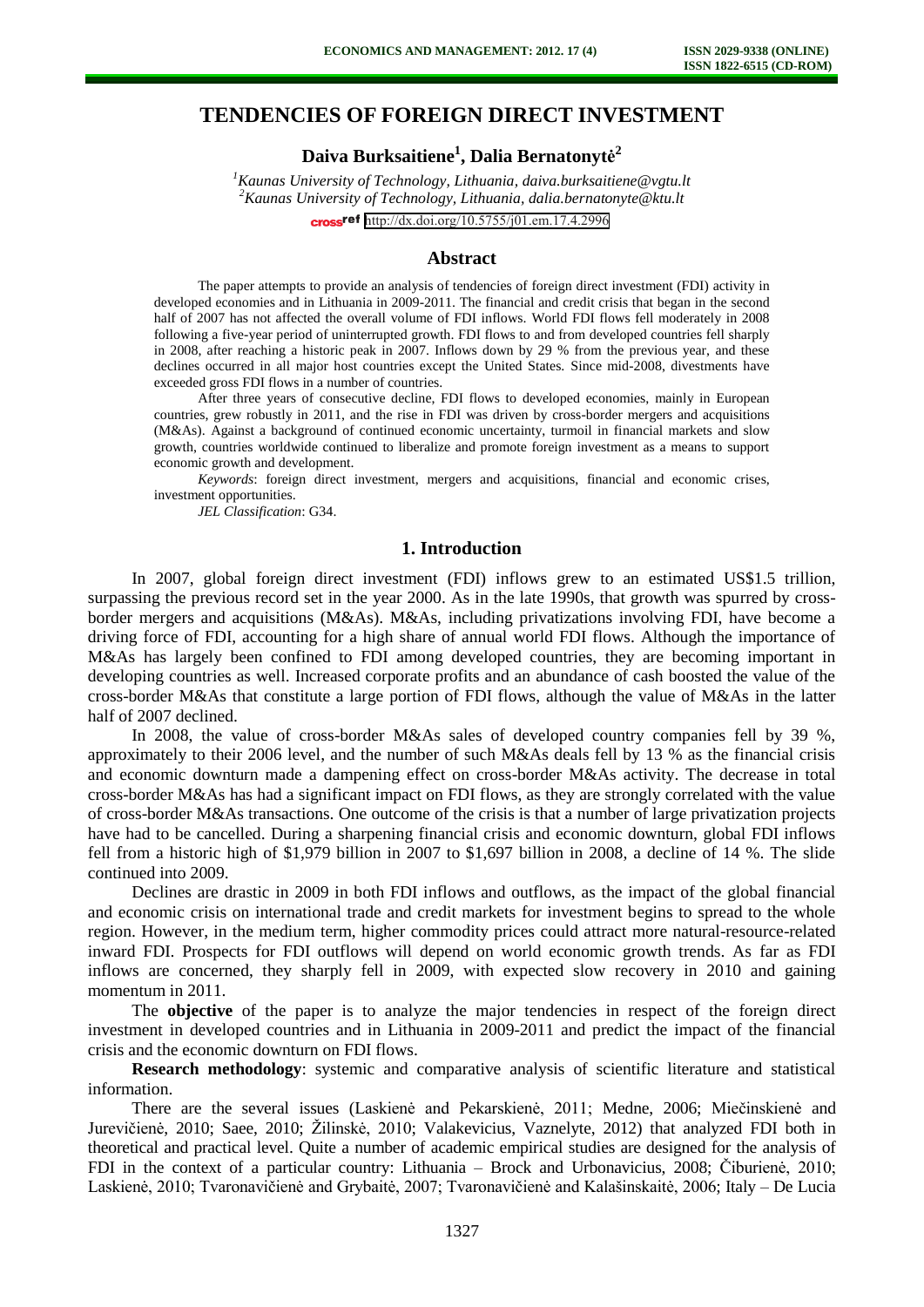# **TENDENCIES OF FOREIGN DIRECT INVESTMENT**

# **Daiva Burksaitiene<sup>1</sup> , Dalia Bernatonytė 2**

*<sup>1</sup>Kaunas University of Technology, Lithuania[, daiva.burksaitiene@vgtu.lt](mailto:daiva.burksaitiene@vgtu.lt) <sup>2</sup>Kaunas University of Technology, Lithuania, dalia.bernatonyt[e@ktu.lt](mailto:db@vgtu.lt)* cross<sup>ref</sup> <http://dx.doi.org/10.5755/j01.em.17.4.2996>

#### **Abstract**

The paper attempts to provide an analysis of tendencies of foreign direct investment (FDI) activity in developed economies and in Lithuania in 2009-2011. The financial and credit crisis that began in the second half of 2007 has not affected the overall volume of FDI inflows. World FDI flows fell moderately in 2008 following a five-year period of uninterrupted growth. FDI flows to and from developed countries fell sharply in 2008, after reaching a historic peak in 2007. Inflows down by 29 % from the previous year, and these declines occurred in all major host countries except the United States. Since mid-2008, divestments have exceeded gross FDI flows in a number of countries.

After three years of consecutive decline, FDI flows to developed economies, mainly in European countries, grew robustly in 2011, and the rise in FDI was driven by cross-border mergers and acquisitions (M&As). Against a background of continued economic uncertainty, turmoil in financial markets and slow growth, countries worldwide continued to liberalize and promote foreign investment as a means to support economic growth and development.

*Keywords*: foreign direct investment, mergers and acquisitions, financial and economic crises, investment opportunities.

*JEL Classification*: G34.

#### **1. Introduction**

In 2007, global foreign direct investment (FDI) inflows grew to an estimated US\$1.5 trillion, surpassing the previous record set in the year 2000. As in the late 1990s, that growth was spurred by crossborder mergers and acquisitions (M&As). M&As, including privatizations involving FDI, have become a driving force of FDI, accounting for a high share of annual world FDI flows. Although the importance of M&As has largely been confined to FDI among developed countries, they are becoming important in developing countries as well. Increased corporate profits and an abundance of cash boosted the value of the cross-border M&As that constitute a large portion of FDI flows, although the value of M&As in the latter half of 2007 declined.

In 2008, the value of cross-border M&As sales of developed country companies fell by 39 %, approximately to their 2006 level, and the number of such M&As deals fell by 13 % as the financial crisis and economic downturn made a dampening effect on cross-border M&As activity. The decrease in total cross-border M&As has had a significant impact on FDI flows, as they are strongly correlated with the value of cross-border M&As transactions. One outcome of the crisis is that a number of large privatization projects have had to be cancelled. During a sharpening financial crisis and economic downturn, global FDI inflows fell from a historic high of \$1,979 billion in 2007 to \$1,697 billion in 2008, a decline of 14 %. The slide continued into 2009.

Declines are drastic in 2009 in both FDI inflows and outflows, as the impact of the global financial and economic crisis on international trade and credit markets for investment begins to spread to the whole region. However, in the medium term, higher commodity prices could attract more natural-resource-related inward FDI. Prospects for FDI outflows will depend on world economic growth trends. As far as FDI inflows are concerned, they sharply fell in 2009, with expected slow recovery in 2010 and gaining momentum in 2011.

The **objective** of the paper is to analyze the major tendencies in respect of the foreign direct investment in developed countries and in Lithuania in 2009-2011 and predict the impact of the financial crisis and the economic downturn on FDI flows.

**Research methodology**: systemic and comparative analysis of scientific literature and statistical information.

There are the several issues (Laskienė and Pekarskienė, 2011; Medne, 2006; Miečinskienė and Jurevičienė, 2010; Saee, 2010; Žilinskė, 2010; Valakevicius, Vaznelyte, 2012) that analyzed FDI both in theoretical and practical level. Quite a number of academic empirical studies are designed for the analysis of FDI in the context of a particular country: Lithuania – Brock and Urbonavicius, 2008; Čiburienė, 2010; Laskienė, 2010; Tvaronavičienė and Grybaitė, 2007; Tvaronavičienė and Kalašinskaitė, 2006; Italy – De Lucia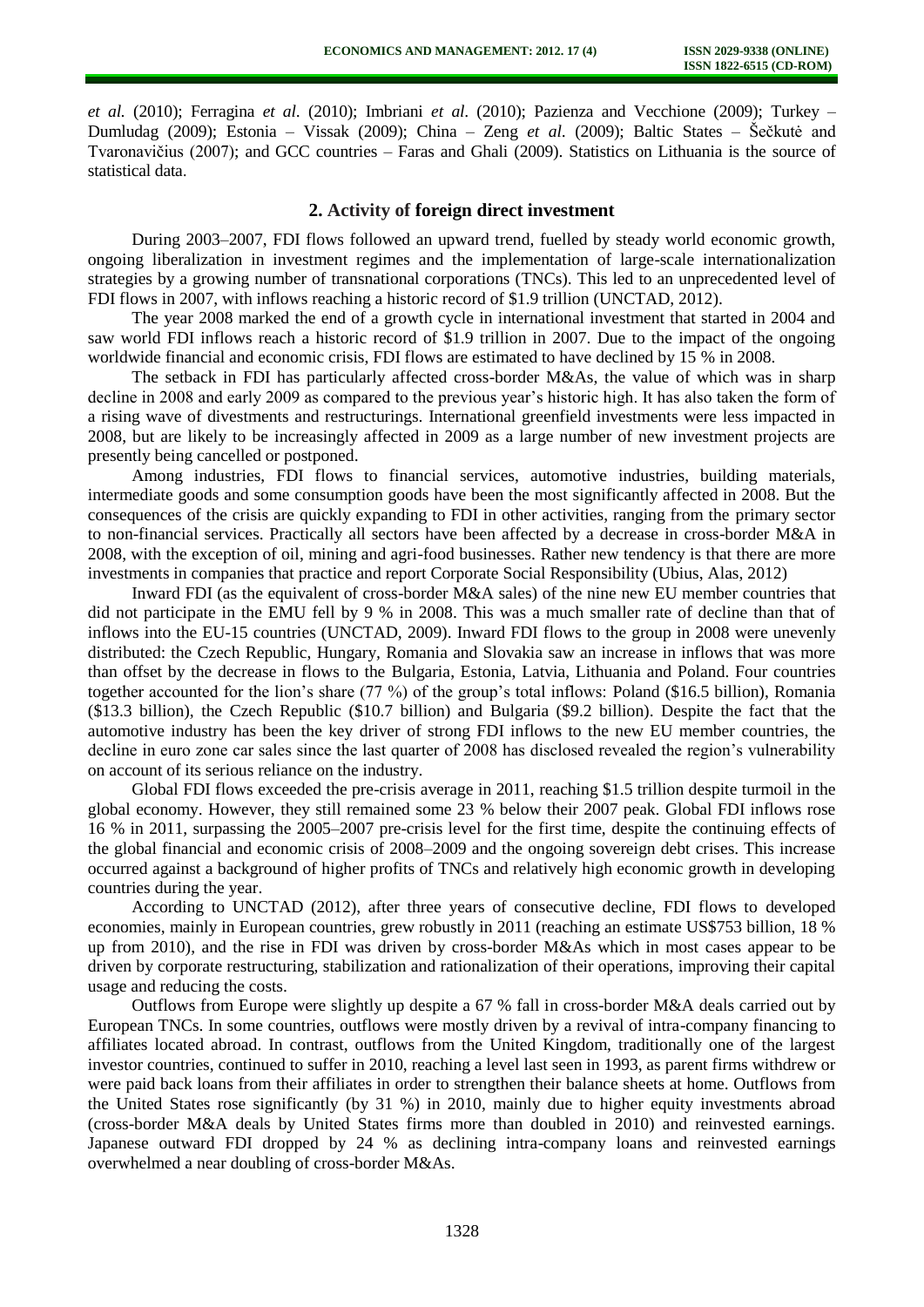*et al.* (2010); Ferragina *et al*. (2010); Imbriani *et al*. (2010); Pazienza and Vecchione (2009); Turkey – Dumludag (2009); Estonia – Vissak (2009); China – Zeng *et al*. (2009); Baltic States – Šečkutė and Tvaronavičius (2007); and GCC countries – Faras and Ghali (2009). Statistics on Lithuania is the source of statistical data.

#### **2. Activity of foreign direct investment**

During 2003–2007, FDI flows followed an upward trend, fuelled by steady world economic growth, ongoing liberalization in investment regimes and the implementation of large-scale internationalization strategies by a growing number of transnational corporations (TNCs). This led to an unprecedented level of FDI flows in 2007, with inflows reaching a historic record of \$1.9 trillion (UNCTAD, 2012).

The year 2008 marked the end of a growth cycle in international investment that started in 2004 and saw world FDI inflows reach a historic record of \$1.9 trillion in 2007. Due to the impact of the ongoing worldwide financial and economic crisis, FDI flows are estimated to have declined by 15 % in 2008.

The setback in FDI has particularly affected cross-border M&As, the value of which was in sharp decline in 2008 and early 2009 as compared to the previous year's historic high. It has also taken the form of a rising wave of divestments and restructurings. International greenfield investments were less impacted in 2008, but are likely to be increasingly affected in 2009 as a large number of new investment projects are presently being cancelled or postponed.

Among industries, FDI flows to financial services, automotive industries, building materials, intermediate goods and some consumption goods have been the most significantly affected in 2008. But the consequences of the crisis are quickly expanding to FDI in other activities, ranging from the primary sector to non-financial services. Practically all sectors have been affected by a decrease in cross-border M&A in 2008, with the exception of oil, mining and agri-food businesses. Rather new tendency is that there are more investments in companies that practice and report Corporate Social Responsibility (Ubius, Alas, 2012)

Inward FDI (as the equivalent of cross-border M&A sales) of the nine new EU member countries that did not participate in the EMU fell by 9 % in 2008. This was a much smaller rate of decline than that of inflows into the EU-15 countries (UNCTAD, 2009). Inward FDI flows to the group in 2008 were unevenly distributed: the Czech Republic, Hungary*,* Romania and Slovakia saw an increase in inflows that was more than offset by the decrease in flows to the Bulgaria, Estonia, Latvia, Lithuania and Poland. Four countries together accounted for the lion's share (77 %) of the group's total inflows: Poland (\$16.5 billion), Romania (\$13.3 billion), the Czech Republic (\$10.7 billion) and Bulgaria (\$9.2 billion). Despite the fact that the automotive industry has been the key driver of strong FDI inflows to the new EU member countries, the decline in euro zone car sales since the last quarter of 2008 has disclosed revealed the region's vulnerability on account of its serious reliance on the industry.

Global FDI flows exceeded the pre-crisis average in 2011, reaching \$1.5 trillion despite turmoil in the global economy. However, they still remained some 23 % below their 2007 peak. Global FDI inflows rose 16 % in 2011, surpassing the 2005–2007 pre-crisis level for the first time, despite the continuing effects of the global financial and economic crisis of 2008–2009 and the ongoing sovereign debt crises. This increase occurred against a background of higher profits of TNCs and relatively high economic growth in developing countries during the year.

According to UNCTAD (2012), after three years of consecutive decline, FDI flows to developed economies, mainly in European countries, grew robustly in 2011 (reaching an estimate US\$753 billion, 18 % up from 2010), and the rise in FDI was driven by cross-border M&As which in most cases appear to be driven by corporate restructuring, stabilization and rationalization of their operations, improving their capital usage and reducing the costs.

Outflows from Europe were slightly up despite a 67 % fall in cross-border M&A deals carried out by European TNCs. In some countries, outflows were mostly driven by a revival of intra-company financing to affiliates located abroad. In contrast, outflows from the United Kingdom, traditionally one of the largest investor countries, continued to suffer in 2010, reaching a level last seen in 1993, as parent firms withdrew or were paid back loans from their affiliates in order to strengthen their balance sheets at home. Outflows from the United States rose significantly (by 31 %) in 2010, mainly due to higher equity investments abroad (cross-border M&A deals by United States firms more than doubled in 2010) and reinvested earnings. Japanese outward FDI dropped by 24 % as declining intra-company loans and reinvested earnings overwhelmed a near doubling of cross-border M&As.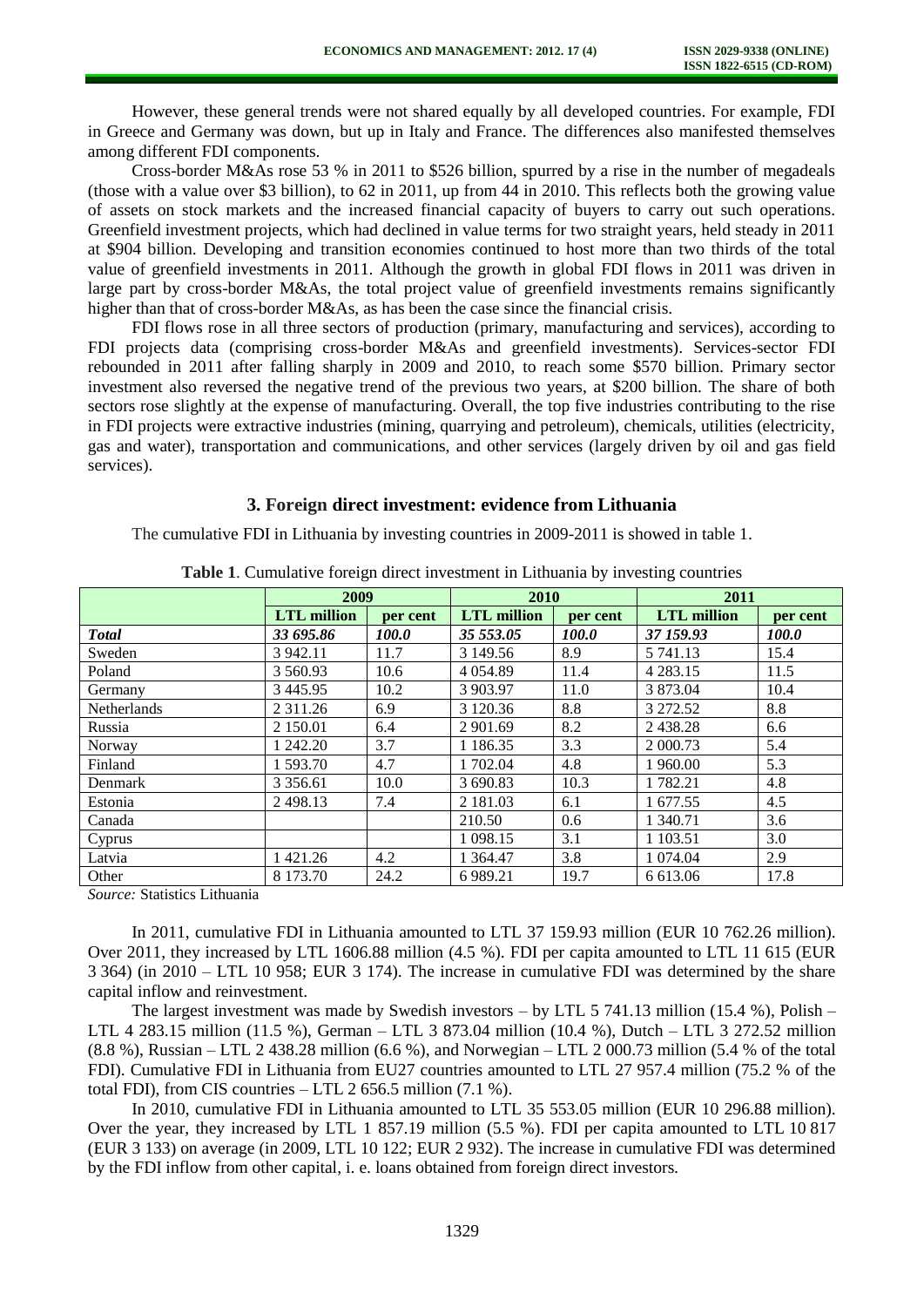However, these general trends were not shared equally by all developed countries. For example, FDI in Greece and Germany was down, but up in Italy and France. The differences also manifested themselves among different FDI components.

Cross-border M&As rose 53 % in 2011 to \$526 billion, spurred by a rise in the number of megadeals (those with a value over \$3 billion), to 62 in 2011, up from 44 in 2010. This reflects both the growing value of assets on stock markets and the increased financial capacity of buyers to carry out such operations. Greenfield investment projects, which had declined in value terms for two straight years, held steady in 2011 at \$904 billion. Developing and transition economies continued to host more than two thirds of the total value of greenfield investments in 2011. Although the growth in global FDI flows in 2011 was driven in large part by cross-border M&As, the total project value of greenfield investments remains significantly higher than that of cross-border M&As, as has been the case since the financial crisis.

FDI flows rose in all three sectors of production (primary, manufacturing and services), according to FDI projects data (comprising cross-border M&As and greenfield investments). Services-sector FDI rebounded in 2011 after falling sharply in 2009 and 2010, to reach some \$570 billion. Primary sector investment also reversed the negative trend of the previous two years, at \$200 billion. The share of both sectors rose slightly at the expense of manufacturing. Overall, the top five industries contributing to the rise in FDI projects were extractive industries (mining, quarrying and petroleum), chemicals, utilities (electricity, gas and water), transportation and communications, and other services (largely driven by oil and gas field services).

## **3. Foreign direct investment: evidence from Lithuania**

The cumulative FDI in Lithuania by investing countries in 2009-2011 is showed in table 1.

|                    | 2009               |          | 2010               |          | 2011               |          |
|--------------------|--------------------|----------|--------------------|----------|--------------------|----------|
|                    | <b>LTL</b> million | per cent | <b>LTL</b> million | per cent | <b>LTL</b> million | per cent |
| <b>Total</b>       | 33 695.86          | 100.0    | 35 553.05          | 100.0    | 37 159.93          | 100.0    |
| Sweden             | 3 942.11           | 11.7     | 3 149.56           | 8.9      | 5 741.13           | 15.4     |
| Poland             | 3 560.93           | 10.6     | 4 0 5 4 8 9        | 11.4     | 4 2 8 3 . 1 5      | 11.5     |
| Germany            | 3 4 4 5 . 9 5      | 10.2     | 3 903.97           | 11.0     | 3 873.04           | 10.4     |
| <b>Netherlands</b> | 2 3 1 1 .26        | 6.9      | 3 1 2 0 . 3 6      | 8.8      | 3 272.52           | 8.8      |
| Russia             | 2 150.01           | 6.4      | 2 901.69           | 8.2      | 2438.28            | 6.6      |
| Norway             | 1 242.20           | 3.7      | 1 1 8 6 . 3 5      | 3.3      | 2 000.73           | 5.4      |
| Finland            | 1 593.70           | 4.7      | 1 702.04           | 4.8      | 1 960.00           | 5.3      |
| Denmark            | 3 3 5 6 6 1        | 10.0     | 3 690.83           | 10.3     | 1 782.21           | 4.8      |
| Estonia            | 2498.13            | 7.4      | 2 181.03           | 6.1      | 1 677.55           | 4.5      |
| Canada             |                    |          | 210.50             | 0.6      | 1 340.71           | 3.6      |
| Cyprus             |                    |          | 1 0 98.15          | 3.1      | 1 103.51           | 3.0      |
| Latvia             | 1 421.26           | 4.2      | 1 3 6 4 . 4 7      | 3.8      | 1 0 74 .04         | 2.9      |
| Other              | 8 173.70           | 24.2     | 6 9 8 9.21         | 19.7     | 6 613.06           | 17.8     |

**Table 1**. Cumulative foreign direct investment in Lithuania by investing countries

*Source:* Statistics Lithuania

In 2011, cumulative FDI in Lithuania amounted to LTL 37 159.93 million (EUR 10 762.26 million). Over 2011, they increased by LTL 1606.88 million (4.5 %). FDI per capita amounted to LTL 11 615 (EUR 3 364) (in 2010 – LTL 10 958; EUR 3 174). The increase in cumulative FDI was determined by the share capital inflow and reinvestment.

The largest investment was made by Swedish investors – by LTL 5 741.13 million (15.4 %), Polish – LTL 4 283.15 million (11.5 %), German – LTL 3 873.04 million (10.4 %), Dutch – LTL 3 272.52 million (8.8 %), Russian – LTL 2 438.28 million (6.6 %), and Norwegian – LTL 2 000.73 million (5.4 % of the total FDI). Cumulative FDI in Lithuania from EU27 countries amounted to LTL 27 957.4 million (75.2 % of the total FDI), from CIS countries – LTL 2 656.5 million (7.1 %).

In 2010, cumulative FDI in Lithuania amounted to LTL 35 553.05 million (EUR 10 296.88 million). Over the year, they increased by LTL 1 857.19 million (5.5 %). FDI per capita amounted to LTL 10 817 (EUR 3 133) on average (in 2009, LTL 10 122; EUR 2 932). The increase in cumulative FDI was determined by the FDI inflow from other capital, i. e. loans obtained from foreign direct investors.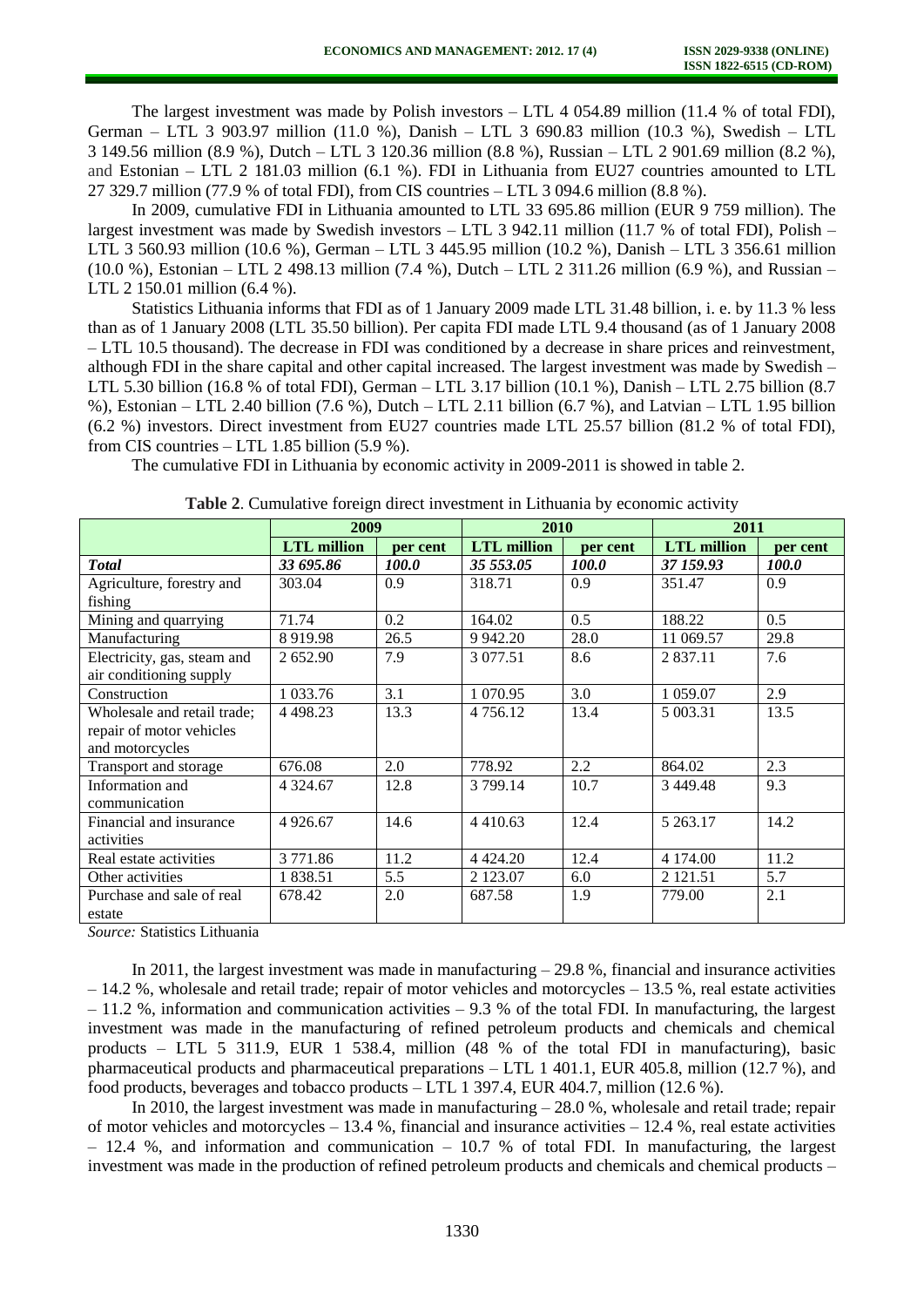The largest investment was made by Polish investors – LTL 4 054.89 million (11.4 % of total FDI), German – LTL 3 903.97 million (11.0 %), Danish – LTL 3 690.83 million (10.3 %), Swedish – LTL 3 149.56 million (8.9 %), Dutch – LTL 3 120.36 million (8.8 %), Russian – LTL 2 901.69 million (8.2 %), and Estonian – LTL 2 181.03 million (6.1 %). FDI in Lithuania from EU27 countries amounted to LTL 27 329.7 million (77.9 % of total FDI), from CIS countries – LTL 3 094.6 million (8.8 %).

In 2009, cumulative FDI in Lithuania amounted to LTL 33 695.86 million (EUR 9 759 million). The largest investment was made by Swedish investors – LTL 3 942.11 million (11.7 % of total FDI), Polish – LTL 3 560.93 million (10.6 %), German – LTL 3 445.95 million (10.2 %), Danish – LTL 3 356.61 million (10.0 %), Estonian – LTL 2 498.13 million (7.4 %), Dutch – LTL 2 311.26 million (6.9 %), and Russian – LTL 2 150.01 million (6.4 %).

Statistics Lithuania informs that FDI as of 1 January 2009 made LTL 31.48 billion, i. e. by 11.3 % less than as of 1 January 2008 (LTL 35.50 billion). Per capita FDI made LTL 9.4 thousand (as of 1 January 2008 – LTL 10.5 thousand). The decrease in FDI was conditioned by a decrease in share prices and reinvestment, although FDI in the share capital and other capital increased. The largest investment was made by Swedish – LTL 5.30 billion (16.8 % of total FDI), German – LTL 3.17 billion (10.1 %), Danish – LTL 2.75 billion (8.7 %), Estonian – LTL 2.40 billion (7.6 %), Dutch – LTL 2.11 billion (6.7 %), and Latvian – LTL 1.95 billion (6.2 %) investors. Direct investment from EU27 countries made LTL 25.57 billion (81.2 % of total FDI), from CIS countries – LTL 1.85 billion (5.9 %).

The cumulative FDI in Lithuania by economic activity in 2009-2011 is showed in table 2.

|                                                                                                                  | 2009               |              | 2010               |              | 2011               |              |
|------------------------------------------------------------------------------------------------------------------|--------------------|--------------|--------------------|--------------|--------------------|--------------|
|                                                                                                                  | <b>LTL</b> million | per cent     | <b>LTL</b> million | per cent     | <b>LTL</b> million | per cent     |
| <b>T</b> otal                                                                                                    | 33 695.86          | <i>100.0</i> | 35 553.05          | <i>100.0</i> | 37 159.93          | <i>100.0</i> |
| Agriculture, forestry and<br>fishing                                                                             | 303.04             | 0.9          | 318.71             | 0.9          | 351.47             | 0.9          |
| Mining and quarrying                                                                                             | 71.74              | 0.2          | 164.02             | 0.5          | 188.22             | 0.5          |
| Manufacturing                                                                                                    | 8 9 1 9.98         | 26.5         | 9 9 4 2.20         | 28.0         | 11 069.57          | 29.8         |
| Electricity, gas, steam and<br>air conditioning supply                                                           | 2 652.90           | 7.9          | 3 0 77.51          | 8.6          | 2 8 3 7 . 1 1      | 7.6          |
| Construction                                                                                                     | 1 033.76           | 3.1          | 1 070.95           | 3.0          | 1 059.07           | 2.9          |
| Wholesale and retail trade;<br>repair of motor vehicles<br>and motorcycles                                       | 4 4 9 8.23         | 13.3         | 4 756.12           | 13.4         | 5 003.31           | 13.5         |
| Transport and storage                                                                                            | 676.08             | 2.0          | 778.92             | 2.2          | 864.02             | 2.3          |
| Information and<br>communication                                                                                 | 4 3 2 4 . 6 7      | 12.8         | 3 799.14           | 10.7         | 3 4 4 9 4 8        | 9.3          |
| Financial and insurance<br>activities                                                                            | 4 9 26.67          | 14.6         | 4 4 1 0 . 6 3      | 12.4         | 5 263.17           | 14.2         |
| Real estate activities                                                                                           | 3771.86            | 11.2         | 4 4 2 4 .20        | 12.4         | 4 174.00           | 11.2         |
| Other activities                                                                                                 | 1838.51            | 5.5          | 2 123.07           | 6.0          | 2 121.51           | 5.7          |
| Purchase and sale of real<br>estate<br>$\alpha$ and $\alpha$ and $\alpha$ and $\alpha$ and $\alpha$ and $\alpha$ | 678.42             | 2.0          | 687.58             | 1.9          | 779.00             | 2.1          |

| Table 2. Cumulative foreign direct investment in Lithuania by economic activity |  |  |  |  |
|---------------------------------------------------------------------------------|--|--|--|--|
|---------------------------------------------------------------------------------|--|--|--|--|

*Source:* Statistics Lithuania

In 2011, the largest investment was made in manufacturing  $-29.8$ %, financial and insurance activities – 14.2 %, wholesale and retail trade; repair of motor vehicles and motorcycles – 13.5 %, real estate activities  $-11.2$  %, information and communication activities  $-9.3$  % of the total FDI. In manufacturing, the largest investment was made in the manufacturing of refined petroleum products and chemicals and chemical products – LTL 5 311.9, EUR 1 538.4, million (48 % of the total FDI in manufacturing), basic pharmaceutical products and pharmaceutical preparations – LTL 1 401.1, EUR 405.8, million (12.7 %), and food products, beverages and tobacco products – LTL 1 397.4, EUR 404.7, million (12.6 %).

In 2010, the largest investment was made in manufacturing  $-28.0$  %, wholesale and retail trade; repair of motor vehicles and motorcycles  $-13.4\%$ , financial and insurance activities  $-12.4\%$ , real estate activities  $-12.4$  %, and information and communication  $-10.7$  % of total FDI. In manufacturing, the largest investment was made in the production of refined petroleum products and chemicals and chemical products –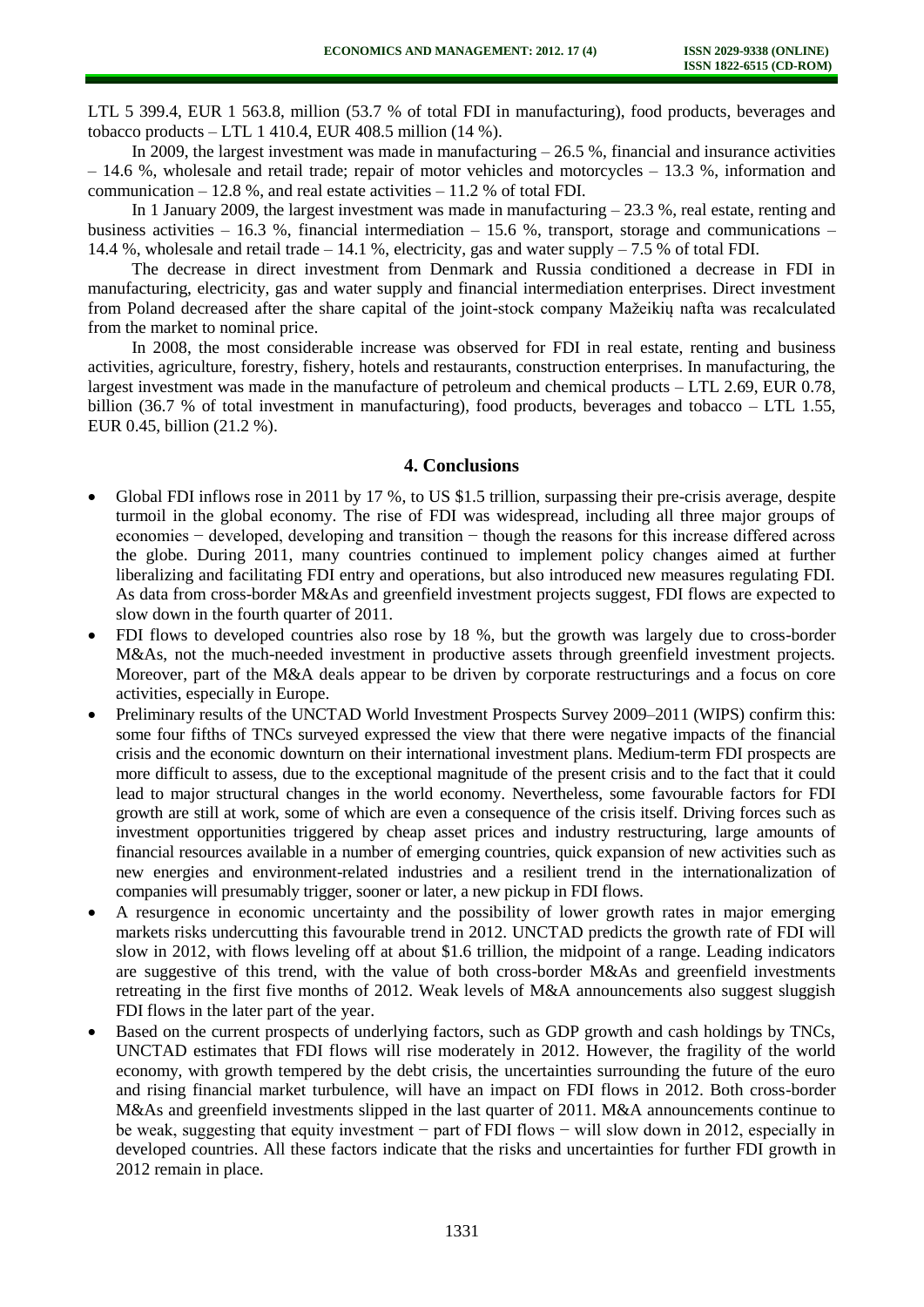LTL 5 399.4, EUR 1 563.8, million (53.7 % of total FDI in manufacturing), food products, beverages and tobacco products – LTL 1 410.4, EUR 408.5 million  $(14\%)$ .

In 2009, the largest investment was made in manufacturing  $-26.5$ %, financial and insurance activities – 14.6 %, wholesale and retail trade; repair of motor vehicles and motorcycles – 13.3 %, information and communication  $-12.8$  %, and real estate activities  $-11.2$  % of total FDI.

In 1 January 2009, the largest investment was made in manufacturing  $-23.3$  %, real estate, renting and business activities – 16.3 %, financial intermediation – 15.6 %, transport, storage and communications – 14.4 %, wholesale and retail trade – 14.1 %, electricity, gas and water supply – 7.5 % of total FDI.

The decrease in direct investment from Denmark and Russia conditioned a decrease in FDI in manufacturing, electricity, gas and water supply and financial intermediation enterprises. Direct investment from Poland decreased after the share capital of the joint-stock company Mažeikių nafta was recalculated from the market to nominal price.

In 2008, the most considerable increase was observed for FDI in real estate, renting and business activities, agriculture, forestry, fishery, hotels and restaurants, construction enterprises. In manufacturing, the largest investment was made in the manufacture of petroleum and chemical products – LTL 2.69, EUR 0.78, billion (36.7 % of total investment in manufacturing), food products, beverages and tobacco – LTL 1.55, EUR 0.45, billion (21.2 %).

## **4. Conclusions**

- Global FDI inflows rose in 2011 by 17 %, to US \$1.5 trillion, surpassing their pre-crisis average, despite turmoil in the global economy. The rise of FDI was widespread, including all three major groups of economies − developed, developing and transition − though the reasons for this increase differed across the globe. During 2011, many countries continued to implement policy changes aimed at further liberalizing and facilitating FDI entry and operations, but also introduced new measures regulating FDI. As data from cross-border M&As and greenfield investment projects suggest, FDI flows are expected to slow down in the fourth quarter of 2011.
- FDI flows to developed countries also rose by 18 %, but the growth was largely due to cross-border M&As, not the much-needed investment in productive assets through greenfield investment projects. Moreover, part of the M&A deals appear to be driven by corporate restructurings and a focus on core activities, especially in Europe.
- Preliminary results of the UNCTAD World Investment Prospects Survey 2009–2011 (WIPS) confirm this: some four fifths of TNCs surveyed expressed the view that there were negative impacts of the financial crisis and the economic downturn on their international investment plans. Medium-term FDI prospects are more difficult to assess, due to the exceptional magnitude of the present crisis and to the fact that it could lead to major structural changes in the world economy. Nevertheless, some favourable factors for FDI growth are still at work, some of which are even a consequence of the crisis itself. Driving forces such as investment opportunities triggered by cheap asset prices and industry restructuring, large amounts of financial resources available in a number of emerging countries, quick expansion of new activities such as new energies and environment-related industries and a resilient trend in the internationalization of companies will presumably trigger, sooner or later, a new pickup in FDI flows.
- A resurgence in economic uncertainty and the possibility of lower growth rates in major emerging markets risks undercutting this favourable trend in 2012. UNCTAD predicts the growth rate of FDI will slow in 2012, with flows leveling off at about \$1.6 trillion, the midpoint of a range. Leading indicators are suggestive of this trend, with the value of both cross-border M&As and greenfield investments retreating in the first five months of 2012. Weak levels of M&A announcements also suggest sluggish FDI flows in the later part of the year.
- Based on the current prospects of underlying factors, such as GDP growth and cash holdings by TNCs, UNCTAD estimates that FDI flows will rise moderately in 2012. However, the fragility of the world economy, with growth tempered by the debt crisis, the uncertainties surrounding the future of the euro and rising financial market turbulence, will have an impact on FDI flows in 2012. Both cross-border M&As and greenfield investments slipped in the last quarter of 2011. M&A announcements continue to be weak, suggesting that equity investment − part of FDI flows − will slow down in 2012, especially in developed countries. All these factors indicate that the risks and uncertainties for further FDI growth in 2012 remain in place.